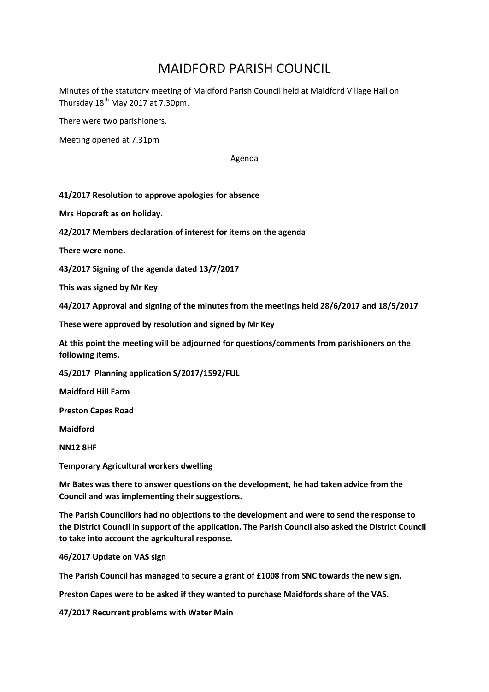## MAIDFORD PARISH COUNCIL

Minutes of the statutory meeting of Maidford Parish Council held at Maidford Village Hall on Thursday  $18<sup>th</sup>$  May 2017 at 7.30pm.

There were two parishioners.

Meeting opened at 7.31pm

Agenda

## **41/2017 Resolution to approve apologies for absence**

**Mrs Hopcraft as on holiday.**

**42/2017 Members declaration of interest for items on the agenda**

**There were none.**

**43/2017 Signing of the agenda dated 13/7/2017**

**This was signed by Mr Key**

**44/2017 Approval and signing of the minutes from the meetings held 28/6/2017 and 18/5/2017**

**These were approved by resolution and signed by Mr Key**

**At this point the meeting will be adjourned for questions/comments from parishioners on the following items.**

**45/2017 Planning application S/2017/1592/FUL**

**Maidford Hill Farm**

**Preston Capes Road**

**Maidford**

**NN12 8HF**

**Temporary Agricultural workers dwelling**

**Mr Bates was there to answer questions on the development, he had taken advice from the Council and was implementing their suggestions.**

**The Parish Councillors had no objections to the development and were to send the response to the District Council in support of the application. The Parish Council also asked the District Council to take into account the agricultural response.**

**46/2017 Update on VAS sign**

**The Parish Council has managed to secure a grant of £1008 from SNC towards the new sign.**

**Preston Capes were to be asked if they wanted to purchase Maidfords share of the VAS.**

**47/2017 Recurrent problems with Water Main**